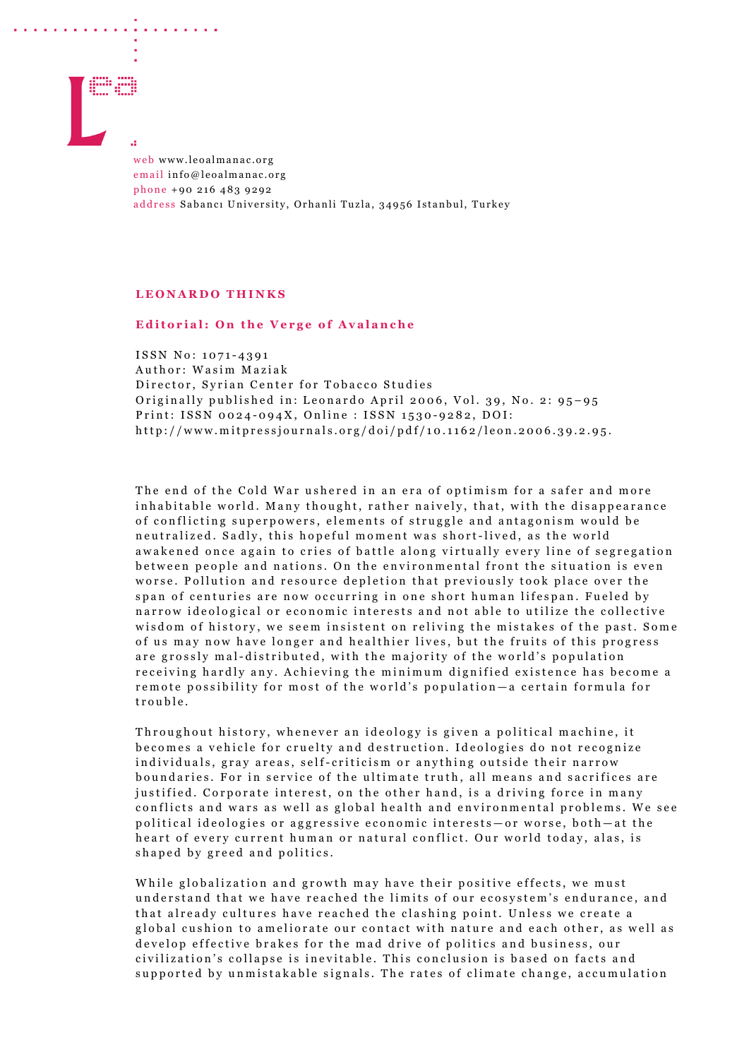

web www.leoalmanac.org email info@leoalmanac.org phone +90 216 483 9292 address Sabancı University, Orhanli Tuzla, 34956 Istanbul, Turkey

## **LEONARDO THINKS**

## **Editorial: On the Verge of Avalanche**

ISSN No: 1071 - 4391 Author: Wasim Maziak Director, Syrian Center for Tobacco Studies Originally published in: Leonardo April 2006, Vol. 39, No. 2: 95-95 Print: ISSN 0024-094X, Online : ISSN 1530-9282, DOI: http://www.mitpressjournals.org/doi/pdf/10.1162/leon.2006.39.2.95 .

The end of the Cold War ushered in an era of optimism for a safer and more inhabitable world. Many thought, rather naively, that, with the disappearance of c onflicting superpowers, elements of struggle and antagonism would be neutralized. Sadly, this hopeful moment was short-lived, as the world awakened once again to cries of battle along virtually every line of segregation between people and nations. On the environmental front the situation is even worse. Pollution and resource depletion that previously took place over the span of centuries are now occurring in one short human lifespan. Fueled by narrow ideological or economic interests and not able to utilize the collective wisdom of history, we seem insistent on reliving the mistakes of the past. Some of us may now have longer and healthier lives, but the fruits of this progress are grossly mal- distributed, with the majority of the world's population receiving hardly any. Achieving the minimum dignified existence has become a remote possibility for most of the world's population — a certain formula for trouble.

Throughout history, whenever an ideology is given a political machine, it becomes a vehicle for cruelty and destruction. Ideologies do not recognize individuals, gray areas, self- criticism or anything outside their narrow boundaries. For in service of the ultimate truth, all means and sacrifices are justified. Corporate interest, on the other hand, is a driving force in many conflicts and wars as well as global health and environmental problems. We see political ideologies or aggressive economic interests — or worse, both — at the heart of every current human or natural conflict. Our world today, alas, is shap ed by greed and politics.

While globalization and growth may have their positive effects, we must understand that we have reached the limits of our ecosystem's endurance, and that already cultures have reached the clashing point. Unless we create a global cushion to ameliorate our contact with nature and each other, as well as develop effective brakes for the mad drive of politics and business, our civilization's collapse is inevitable. This conclusion is based on facts and supported by unmistakable signals. The rates of climate change, accumulation